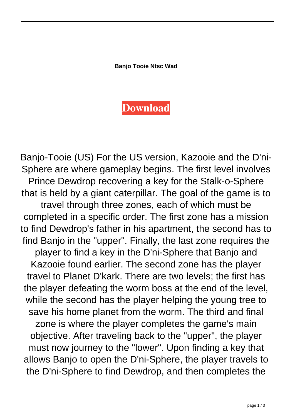**Banjo Tooie Ntsc Wad**

## **[Download](http://evacdir.com/accomplice/incompletion/familiarizes.flubs.ZG93bmxvYWR8MzhITVhneU1YeDhNVFkxTWpjME1EZzJObng4TWpVM05IeDhLRTBwSUhKbFlXUXRZbXh2WnlCYlJtRnpkQ0JIUlU1ZA?&rewetting=wachusett&&juliette=YmFuam8gdG9vaWUgbnRzYyB3YWQYmF)**

Banjo-Tooie (US) For the US version, Kazooie and the D'ni-Sphere are where gameplay begins. The first level involves Prince Dewdrop recovering a key for the Stalk-o-Sphere that is held by a giant caterpillar. The goal of the game is to travel through three zones, each of which must be completed in a specific order. The first zone has a mission to find Dewdrop's father in his apartment, the second has to find Banjo in the "upper". Finally, the last zone requires the player to find a key in the D'ni-Sphere that Banjo and Kazooie found earlier. The second zone has the player travel to Planet D'kark. There are two levels; the first has the player defeating the worm boss at the end of the level, while the second has the player helping the young tree to save his home planet from the worm. The third and final zone is where the player completes the game's main objective. After traveling back to the "upper", the player must now journey to the "lower". Upon finding a key that allows Banjo to open the D'ni-Sphere, the player travels to the D'ni-Sphere to find Dewdrop, and then completes the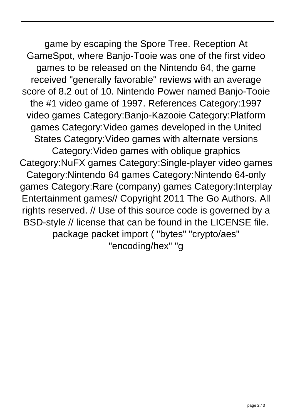game by escaping the Spore Tree. Reception At GameSpot, where Banjo-Tooie was one of the first video games to be released on the Nintendo 64, the game received "generally favorable" reviews with an average score of 8.2 out of 10. Nintendo Power named Banjo-Tooie the #1 video game of 1997. References Category:1997 video games Category:Banjo-Kazooie Category:Platform games Category:Video games developed in the United States Category:Video games with alternate versions Category:Video games with oblique graphics Category:NuFX games Category:Single-player video games Category:Nintendo 64 games Category:Nintendo 64-only games Category:Rare (company) games Category:Interplay Entertainment games// Copyright 2011 The Go Authors. All rights reserved. // Use of this source code is governed by a BSD-style // license that can be found in the LICENSE file. package packet import ( "bytes" "crypto/aes" "encoding/hex" "g